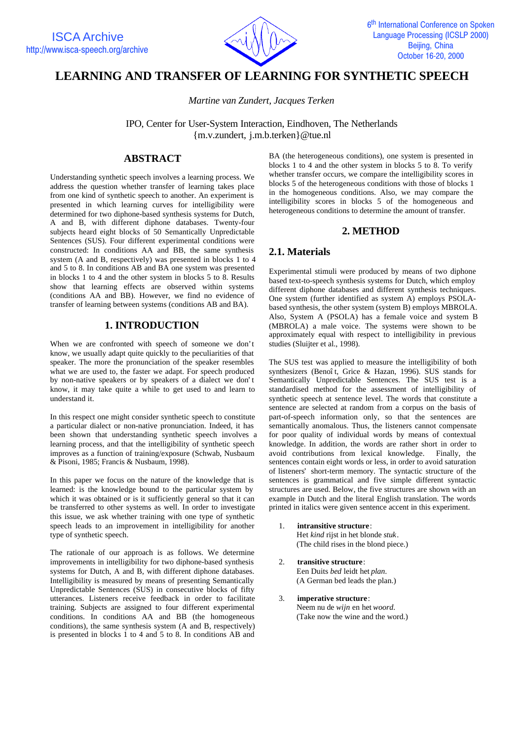

# **LEARNING AND TRANSFER OF LEARNING FOR SYNTHETIC SPEECH**

*Martine van Zundert, Jacques Terken*

IPO, Center for User-System Interaction, Eindhoven, The Netherlands {m.v.zundert, j.m.b.terken}@tue.nl

## **ABSTRACT**

Understanding synthetic speech involves a learning process. We address the question whether transfer of learning takes place from one kind of synthetic speech to another. An experiment is presented in which learning curves for intelligibility were determined for two diphone-based synthesis systems for Dutch, A and B, with different diphone databases. Twenty-four subjects heard eight blocks of 50 Semantically Unpredictable Sentences (SUS). Four different experimental conditions were constructed: In conditions AA and BB, the same synthesis system (A and B, respectively) was presented in blocks 1 to 4 and 5 to 8. In conditions AB and BA one system was presented in blocks 1 to 4 and the other system in blocks 5 to 8. Results show that learning effects are observed within systems (conditions AA and BB). However, we find no evidence of transfer of learning between systems (conditions AB and BA).

### **1. INTRODUCTION**

When we are confronted with speech of someone we don't know, we usually adapt quite quickly to the peculiarities of that speaker. The more the pronunciation of the speaker resembles what we are used to, the faster we adapt. For speech produced by non-native speakers or by speakers of a dialect we don't know, it may take quite a while to get used to and learn to understand it.

In this respect one might consider synthetic speech to constitute a particular dialect or non-native pronunciation. Indeed, it has been shown that understanding synthetic speech involves a learning process, and that the intelligibility of synthetic speech improves as a function of training/exposure (Schwab, Nusbaum & Pisoni, 1985; Francis & Nusbaum, 1998).

In this paper we focus on the nature of the knowledge that is learned: is the knowledge bound to the particular system by which it was obtained or is it sufficiently general so that it can be transferred to other systems as well. In order to investigate this issue, we ask whether training with one type of synthetic speech leads to an improvement in intelligibility for another type of synthetic speech.

The rationale of our approach is as follows. We determine improvements in intelligibility for two diphone-based synthesis systems for Dutch, A and B, with different diphone databases. Intelligibility is measured by means of presenting Semantically Unpredictable Sentences (SUS) in consecutive blocks of fifty utterances. Listeners receive feedback in order to facilitate training. Subjects are assigned to four different experimental conditions. In conditions AA and BB (the homogeneous conditions), the same synthesis system (A and B, respectively) is presented in blocks 1 to 4 and 5 to 8. In conditions AB and

BA (the heterogeneous conditions), one system is presented in blocks 1 to 4 and the other system in blocks 5 to 8. To verify whether transfer occurs, we compare the intelligibility scores in blocks 5 of the heterogeneous conditions with those of blocks 1 in the homogeneous conditions. Also, we may compare the intelligibility scores in blocks 5 of the homogeneous and heterogeneous conditions to determine the amount of transfer.

### **2. METHOD**

### **2.1. Materials**

Experimental stimuli were produced by means of two diphone based text-to-speech synthesis systems for Dutch, which employ different diphone databases and different synthesis techniques. One system (further identified as system A) employs PSOLAbased synthesis, the other system (system B) employs MBROLA. Also, System A (PSOLA) has a female voice and system B (MBROLA) a male voice. The systems were shown to be approximately equal with respect to intelligibility in previous studies (Sluijter et al., 1998).

The SUS test was applied to measure the intelligibility of both synthesizers (Benoît, Grice & Hazan, 1996). SUS stands for Semantically Unpredictable Sentences. The SUS test is a standardised method for the assessment of intelligibility of synthetic speech at sentence level. The words that constitute a sentence are selected at random from a corpus on the basis of part-of-speech information only, so that the sentences are semantically anomalous. Thus, the listeners cannot compensate for poor quality of individual words by means of contextual knowledge. In addition, the words are rather short in order to avoid contributions from lexical knowledge. Finally, the sentences contain eight words or less, in order to avoid saturation of listeners' short-term memory. The syntactic structure of the sentences is grammatical and five simple different syntactic structures are used. Below, the five structures are shown with an example in Dutch and the literal English translation. The words printed in italics were given sentence accent in this experiment.

- 1. **intransitive structure**: Het *kind* rijst in het blonde *stuk*. (The child rises in the blond piece.)
- 2. **transitive structure**: Een Duits *bed* leidt het *plan*.

(A German bed leads the plan.)

3. **imperative structure**: Neem nu de *wijn* en het *woord.* (Take now the wine and the word.)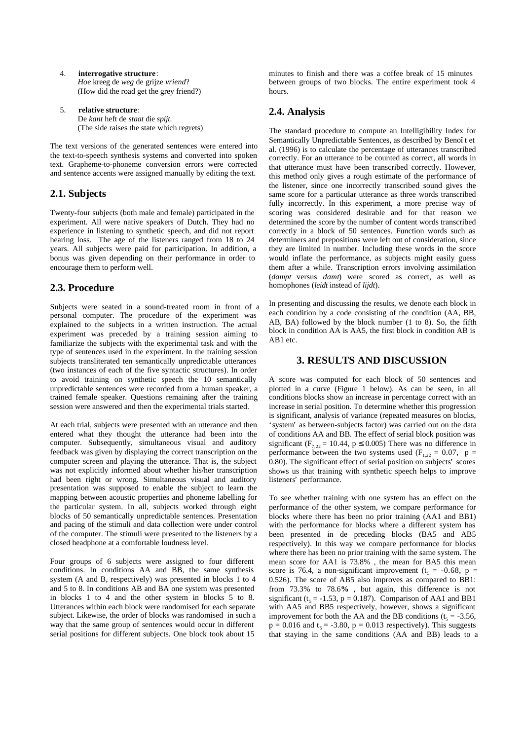- 4. **interrogative structure**: *Hoe* kreeg de *weg* de grijze *vriend*? (How did the road get the grey friend?)
- 5. **relative structure**: De *kant* heft de *staat* die *spijt*. (The side raises the state which regrets)

The text versions of the generated sentences were entered into the text-to-speech synthesis systems and converted into spoken text. Grapheme-to-phoneme conversion errors were corrected and sentence accents were assigned manually by editing the text.

### **2.1. Subjects**

Twenty-four subjects (both male and female) participated in the experiment. All were native speakers of Dutch. They had no experience in listening to synthetic speech, and did not report hearing loss. The age of the listeners ranged from 18 to 24 years. All subjects were paid for participation. In addition, a bonus was given depending on their performance in order to encourage them to perform well.

## **2.3. Procedure**

Subjects were seated in a sound-treated room in front of a personal computer. The procedure of the experiment was explained to the subjects in a written instruction. The actual experiment was preceded by a training session aiming to familiarize the subjects with the experimental task and with the type of sentences used in the experiment. In the training session subjects transliterated ten semantically unpredictable utterances (two instances of each of the five syntactic structures). In order to avoid training on synthetic speech the 10 semantically unpredictable sentences were recorded from a human speaker, a trained female speaker. Questions remaining after the training session were answered and then the experimental trials started.

At each trial, subjects were presented with an utterance and then entered what they thought the utterance had been into the computer. Subsequently, simultaneous visual and auditory feedback was given by displaying the correct transcription on the computer screen and playing the utterance. That is, the subject was not explicitly informed about whether his/her transcription had been right or wrong. Simultaneous visual and auditory presentation was supposed to enable the subject to learn the mapping between acoustic properties and phoneme labelling for the particular system. In all, subjects worked through eight blocks of 50 semantically unpredictable sentences. Presentation and pacing of the stimuli and data collection were under control of the computer. The stimuli were presented to the listeners by a closed headphone at a comfortable loudness level.

Four groups of 6 subjects were assigned to four different conditions. In conditions AA and BB, the same synthesis system (A and B, respectively) was presented in blocks 1 to 4 and 5 to 8. In conditions AB and BA one system was presented in blocks 1 to 4 and the other system in blocks 5 to 8. Utterances within each block were randomised for each separate subject. Likewise, the order of blocks was randomised in such a way that the same group of sentences would occur in different serial positions for different subjects. One block took about 15

minutes to finish and there was a coffee break of 15 minutes between groups of two blocks. The entire experiment took 4 hours.

# **2.4. Analysis**

The standard procedure to compute an Intelligibility Index for Semantically Unpredictable Sentences, as described by Benoît et al. (1996) is to calculate the percentage of utterances transcribed correctly. For an utterance to be counted as correct, all words in that utterance must have been transcribed correctly. However, this method only gives a rough estimate of the performance of the listener, since one incorrectly transcribed sound gives the same score for a particular utterance as three words transcribed fully incorrectly. In this experiment, a more precise way of scoring was considered desirable and for that reason we determined the score by the number of content words transcribed correctly in a block of 50 sentences. Function words such as determiners and prepositions were left out of consideration, since they are limited in number. Including these words in the score would inflate the performance, as subjects might easily guess them after a while. Transcription errors involving assimilation (*dampt* versus *damt*) were scored as correct, as well as homophones (*leidt* instead of *lijdt*).

In presenting and discussing the results, we denote each block in each condition by a code consisting of the condition (AA, BB, AB, BA) followed by the block number (1 to 8). So, the fifth block in condition AA is AA5, the first block in condition AB is AB1 etc.

### **3. RESULTS AND DISCUSSION**

A score was computed for each block of 50 sentences and plotted in a curve (Figure 1 below). As can be seen, in all conditions blocks show an increase in percentage correct with an increase in serial position. To determine whether this progression is significant, analysis of variance (repeated measures on blocks, 'system' as between-subjects factor) was carried out on the data of conditions AA and BB. The effect of serial block position was significant ( $F_{7,22} = 10.44$ ,  $p \le 0.005$ ) There was no difference in performance between the two systems used ( $F_{1,22} = 0.07$ , p = 0.80). The significant effect of serial position on subjects' scores shows us that training with synthetic speech helps to improve listeners' performance.

To see whether training with one system has an effect on the performance of the other system, we compare performance for blocks where there has been no prior training (AA1 and BB1) with the performance for blocks where a different system has been presented in de preceding blocks (BA5 and AB5 respectively). In this way we compare performance for blocks where there has been no prior training with the same system. The mean score for AA1 is 73.8% , the mean for BA5 this mean score is 76.4, a non-significant improvement ( $t_5$  = -0.68, p = 0.526). The score of AB5 also improves as compared to BB1: from 73.3% to 78.6**%** , but again, this difference is not significant ( $t_5 = -1.53$ ,  $p = 0.187$ ). Comparison of AA1 and BB1 with AA5 and BB5 respectively, however, shows a significant improvement for both the AA and the BB conditions ( $t<sub>5</sub> = -3.56$ ),  $p = 0.016$  and  $t_5 = -3.80$ ,  $p = 0.013$  respectively). This suggests that staying in the same conditions (AA and BB) leads to a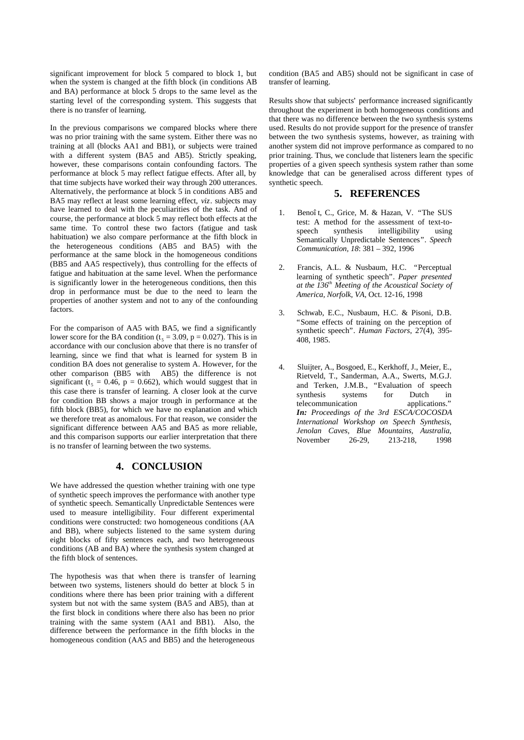significant improvement for block 5 compared to block 1, but when the system is changed at the fifth block (in conditions AB and BA) performance at block 5 drops to the same level as the starting level of the corresponding system. This suggests that there is no transfer of learning.

In the previous comparisons we compared blocks where there was no prior training with the same system. Either there was no training at all (blocks AA1 and BB1), or subjects were trained with a different system (BA5 and AB5). Strictly speaking, however, these comparisons contain confounding factors. The performance at block 5 may reflect fatigue effects. After all, by that time subjects have worked their way through 200 utterances. Alternatively, the performance at block 5 in conditions AB5 and BA5 may reflect at least some learning effect, *viz*. subjects may have learned to deal with the peculiarities of the task. And of course, the performance at block 5 may reflect both effects at the same time. To control these two factors (fatigue and task habituation) we also compare performance at the fifth block in the heterogeneous conditions (AB5 and BA5) with the performance at the same block in the homogeneous conditions (BB5 and AA5 respectively), thus controlling for the effects of fatigue and habituation at the same level. When the performance is significantly lower in the heterogeneous conditions, then this drop in performance must be due to the need to learn the properties of another system and not to any of the confounding factors.

For the comparison of AA5 with BA5, we find a significantly lower score for the BA condition ( $t<sub>5</sub> = 3.09$ ,  $p = 0.027$ ). This is in accordance with our conclusion above that there is no transfer of learning, since we find that what is learned for system B in condition BA does not generalise to system A. However, for the other comparison (BB5 with AB5) the difference is not significant ( $t_5 = 0.46$ ,  $p = 0.662$ ), which would suggest that in this case there is transfer of learning. A closer look at the curve for condition BB shows a major trough in performance at the fifth block (BB5), for which we have no explanation and which we therefore treat as anomalous. For that reason, we consider the significant difference between AA5 and BA5 as more reliable, and this comparison supports our earlier interpretation that there is no transfer of learning between the two systems.

#### **4. CONCLUSION**

We have addressed the question whether training with one type of synthetic speech improves the performance with another type of synthetic speech. Semantically Unpredictable Sentences were used to measure intelligibility. Four different experimental conditions were constructed: two homogeneous conditions (AA and BB), where subjects listened to the same system during eight blocks of fifty sentences each, and two heterogeneous conditions (AB and BA) where the synthesis system changed at the fifth block of sentences.

The hypothesis was that when there is transfer of learning between two systems, listeners should do better at block 5 in conditions where there has been prior training with a different system but not with the same system (BA5 and AB5), than at the first block in conditions where there also has been no prior training with the same system (AA1 and BB1). Also, the difference between the performance in the fifth blocks in the homogeneous condition (AA5 and BB5) and the heterogeneous

condition (BA5 and AB5) should not be significant in case of transfer of learning.

Results show that subjects' performance increased significantly throughout the experiment in both homogeneous conditions and that there was no difference between the two synthesis systems used. Results do not provide support for the presence of transfer between the two synthesis systems, however, as training with another system did not improve performance as compared to no prior training. Thus, we conclude that listeners learn the specific properties of a given speech synthesis system rather than some knowledge that can be generalised across different types of synthetic speech.

#### **5. REFERENCES**

- 1. Benoît, C., Grice, M. & Hazan, V. "The SUS test: A method for the assessment of text-tospeech synthesis intelligibility using Semantically Unpredictable Sentences". *Speech Communication, 18*: 381 – 392, 1996
- 2. Francis, A.L. & Nusbaum, H.C. "Perceptual learning of synthetic speech". *Paper presented at the 136th Meeting of the Acoustical Society of America, Norfolk, VA*, Oct. 12-16, 1998
- 3. Schwab, E.C., Nusbaum, H.C. & Pisoni, D.B. "Some effects of training on the perception of synthetic speech". *Human Factors*, 27(4), 395- 408, 1985.
- 4. Sluijter, A., Bosgoed, E., Kerkhoff, J., Meier, E., Rietveld, T., Sanderman, A.A., Swerts, M.G.J. and Terken, J.M.B., "Evaluation of speech synthesis systems for Dutch in telecommunication applications." *In: Proceedings of the 3rd ESCA/COCOSDA International Workshop on Speech Synthesis, Jenolan Caves, Blue Mountains, Australia*, November 26-29, 213-218, 1998